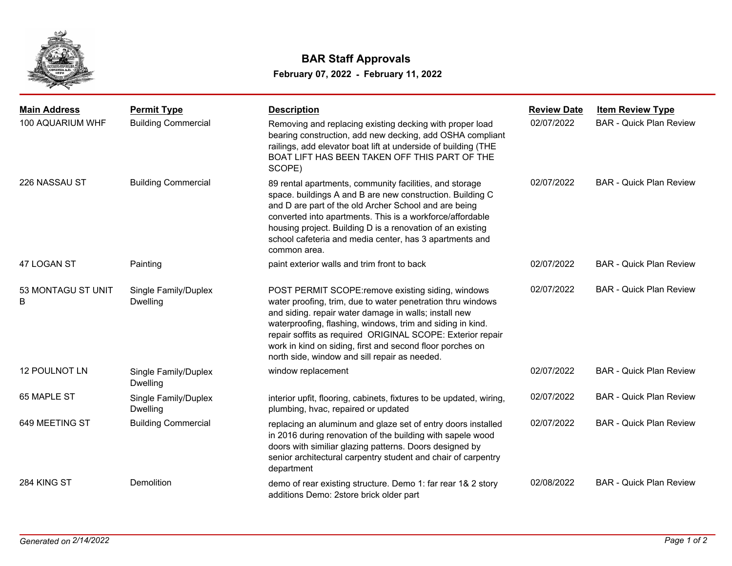

## **February 07, 2022 - February 11, 2022 BAR Staff Approvals**

| <b>Main Address</b>     | <b>Permit Type</b>                      | <b>Description</b>                                                                                                                                                                                                                                                                                                                                                                                                   | <b>Review Date</b> | <b>Item Review Type</b>        |
|-------------------------|-----------------------------------------|----------------------------------------------------------------------------------------------------------------------------------------------------------------------------------------------------------------------------------------------------------------------------------------------------------------------------------------------------------------------------------------------------------------------|--------------------|--------------------------------|
| 100 AQUARIUM WHF        | <b>Building Commercial</b>              | Removing and replacing existing decking with proper load<br>bearing construction, add new decking, add OSHA compliant<br>railings, add elevator boat lift at underside of building (THE<br>BOAT LIFT HAS BEEN TAKEN OFF THIS PART OF THE<br>SCOPE)                                                                                                                                                                   | 02/07/2022         | <b>BAR - Quick Plan Review</b> |
| 226 NASSAU ST           | <b>Building Commercial</b>              | 89 rental apartments, community facilities, and storage<br>space. buildings A and B are new construction. Building C<br>and D are part of the old Archer School and are being<br>converted into apartments. This is a workforce/affordable<br>housing project. Building D is a renovation of an existing<br>school cafeteria and media center, has 3 apartments and<br>common area.                                  | 02/07/2022         | <b>BAR - Quick Plan Review</b> |
| 47 LOGAN ST             | Painting                                | paint exterior walls and trim front to back                                                                                                                                                                                                                                                                                                                                                                          | 02/07/2022         | <b>BAR - Quick Plan Review</b> |
| 53 MONTAGU ST UNIT<br>B | Single Family/Duplex<br><b>Dwelling</b> | POST PERMIT SCOPE: remove existing siding, windows<br>water proofing, trim, due to water penetration thru windows<br>and siding. repair water damage in walls; install new<br>waterproofing, flashing, windows, trim and siding in kind.<br>repair soffits as required ORIGINAL SCOPE: Exterior repair<br>work in kind on siding, first and second floor porches on<br>north side, window and sill repair as needed. | 02/07/2022         | <b>BAR - Quick Plan Review</b> |
| <b>12 POULNOT LN</b>    | Single Family/Duplex<br><b>Dwelling</b> | window replacement                                                                                                                                                                                                                                                                                                                                                                                                   | 02/07/2022         | <b>BAR - Quick Plan Review</b> |
| 65 MAPLE ST             | Single Family/Duplex<br><b>Dwelling</b> | interior upfit, flooring, cabinets, fixtures to be updated, wiring,<br>plumbing, hvac, repaired or updated                                                                                                                                                                                                                                                                                                           | 02/07/2022         | <b>BAR - Quick Plan Review</b> |
| 649 MEETING ST          | <b>Building Commercial</b>              | replacing an aluminum and glaze set of entry doors installed<br>in 2016 during renovation of the building with sapele wood<br>doors with similiar glazing patterns. Doors designed by<br>senior architectural carpentry student and chair of carpentry<br>department                                                                                                                                                 | 02/07/2022         | <b>BAR - Quick Plan Review</b> |
| 284 KING ST             | Demolition                              | demo of rear existing structure. Demo 1: far rear 1& 2 story<br>additions Demo: 2store brick older part                                                                                                                                                                                                                                                                                                              | 02/08/2022         | <b>BAR - Quick Plan Review</b> |